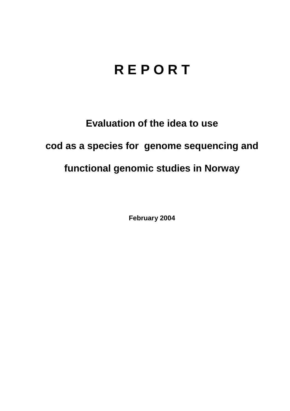# **R E P O R T**

## **Evaluation of the idea to use**

## **cod as a species for genome sequencing and**

## **functional genomic studies in Norway**

**February 2004**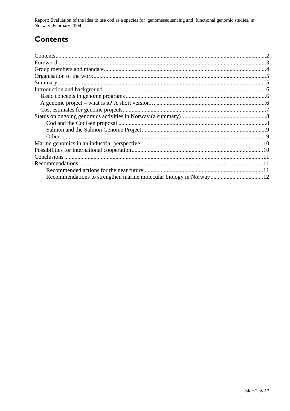## **Contents**

| Recommendations to strengthen marine molecular biology in Norway12 |  |
|--------------------------------------------------------------------|--|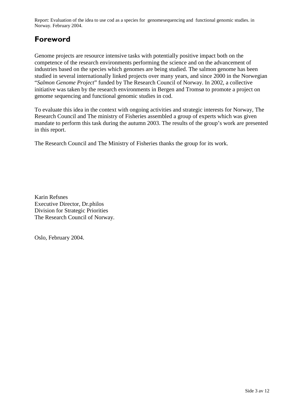## **Foreword**

Genome projects are resource intensive tasks with potentially positive impact both on the competence of the research environments performing the science and on the advancement of industries based on the species which genomes are being studied. The salmon genome has been studied in several internationally linked projects over many years, and since 2000 in the Norwegian "*Salmon Genome Project*" funded by The Research Council of Norway. In 2002, a collective initiative was taken by the research environments in Bergen and Tromsø to promote a project on genome sequencing and functional genomic studies in cod.

To evaluate this idea in the context with ongoing activities and strategic interests for Norway, The Research Council and The ministry of Fisheries assembled a group of experts which was given mandate to perform this task during the autumn 2003. The results of the group's work are presented in this report.

The Research Council and The Ministry of Fisheries thanks the group for its work.

Karin Refsnes Executive Director, Dr.philos Division for Strategic Priorities The Research Council of Norway.

Oslo, February 2004.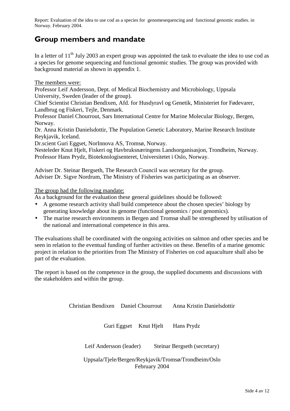## **Group members and mandate**

In a letter of 11<sup>th</sup> July 2003 an expert group was appointed the task to evaluate the idea to use cod as a species for genome sequencing and functional genomic studies. The group was provided with background material as shown in appendix 1.

#### The members were:

Professor Leif Andersson, Dept. of Medical Biochemistry and Microbiology, Uppsala University, Sweden (leader of the group).

Chief Scientist Christian Bendixen, Afd. for Husdyravl og Genetik, Ministeriet for Fødevarer, Landbrug og Fiskeri, Tejle, Denmark.

Professor Daniel Chourrout, Sars International Centre for Marine Molecular Biology, Bergen, Norway.

Dr. Anna Kristin Danielsdottir, The Population Genetic Laboratory, Marine Research Institute Reykjavik, Iceland.

Dr.scient Guri Eggset, NorInnova AS, Tromsø, Norway.

Nesteleder Knut Hjelt, Fiskeri og Havbruksnæringens Landsorganisasjon, Trondheim, Norway. Professor Hans Prydz, Bioteknologisenteret, Universitetet i Oslo, Norway.

Adviser Dr. Steinar Bergseth, The Research Council was secretary for the group. Adviser Dr. Sigve Nordrum, The Ministry of Fisheries was participating as an observer.

The group had the following mandate:

As a background for the evaluation these general guidelines should be followed:

- A genome research activity shall build competence about the chosen species' biology by generating knowledge about its genome (functional genomics / post genomics).
- The marine research environments in Bergen and Tromsø shall be strengthened by utilisation of the national and international competence in this area.

The evaluations shall be coordinated with the ongoing activities on salmon and other species and be seen in relation to the eventual funding of further activities on these. Benefits of a marine genomic project in relation to the priorities from The Ministry of Fisheries on cod aquaculture shall also be part of the evaluation.

The report is based on the competence in the group, the supplied documents and discussions with the stakeholders and within the group.

Christian Bendixen Daniel Chourrout Anna Kristin Danielsdottir

Guri Eggset Knut Hjelt Hans Prydz

Leif Andersson (leader) Steinar Bergseth (secretary)

Uppsala/Tjele/Bergen/Reykjavik/Tromsø/Trondheim/Oslo February 2004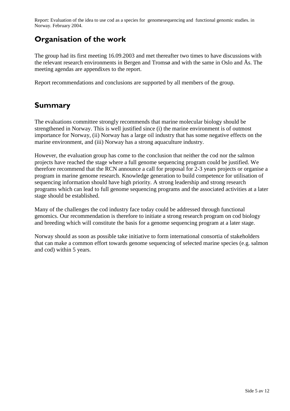## **Organisation of the work**

The group had its first meeting 16.09.2003 and met thereafter two times to have discussions with the relevant research environments in Bergen and Tromsø and with the same in Oslo and Ås. The meeting agendas are appendixes to the report.

Report recommendations and conclusions are supported by all members of the group.

## **Summary**

The evaluations committee strongly recommends that marine molecular biology should be strengthened in Norway. This is well justified since (i) the marine environment is of outmost importance for Norway, (ii) Norway has a large oil industry that has some negative effects on the marine environment, and (iii) Norway has a strong aquaculture industry.

However, the evaluation group has come to the conclusion that neither the cod nor the salmon projects have reached the stage where a full genome sequencing program could be justified. We therefore recommend that the RCN announce a call for proposal for 2-3 years projects or organise a program in marine genome research. Knowledge generation to build competence for utilisation of sequencing information should have high priority. A strong leadership and strong research programs which can lead to full genome sequencing programs and the associated activities at a later stage should be established.

Many of the challenges the cod industry face today could be addressed through functional genomics. Our recommendation is therefore to initiate a strong research program on cod biology and breeding which will constitute the basis for a genome sequencing program at a later stage.

Norway should as soon as possible take initiative to form international consortia of stakeholders that can make a common effort towards genome sequencing of selected marine species (e.g. salmon and cod) within 5 years.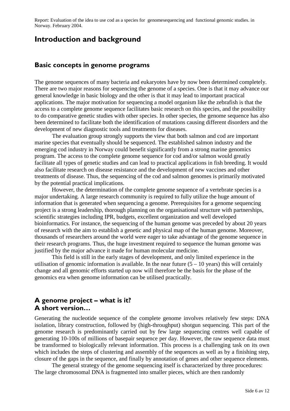### **Introduction and background**

#### **Basic concepts in genome programs**

The genome sequences of many bacteria and eukaryotes have by now been determined completely. There are two major reasons for sequencing the genome of a species. One is that it may advance our general knowledge in basic biology and the other is that it may lead to important practical applications. The major motivation for sequencing a model organism like the zebrafish is that the access to a complete genome sequence facilitates basic research on this species, and the possibility to do comparative genetic studies with other species. In other species, the genome sequence has also been determined to facilitate both the identification of mutations causing different disorders and the development of new diagnostic tools and treatments for diseases.

The evaluation group strongly supports the view that both salmon and cod are important marine species that eventually should be sequenced. The established salmon industry and the emerging cod industry in Norway could benefit significantly from a strong marine genomics program. The access to the complete genome sequence for cod and/or salmon would greatly facilitate all types of genetic studies and can lead to practical applications in fish breeding. It would also facilitate research on disease resistance and the development of new vaccines and other treatments of disease. Thus, the sequencing of the cod and salmon genomes is primarily motivated by the potential practical implications.

 However, the determination of the complete genome sequence of a vertebrate species is a major undertaking. A large research community is required to fully utilize the huge amount of information that is generated when sequencing a genome. Prerequisites for a genome sequencing project is a strong leadership, thorough planning on the organisational structure with partnerships, scientific strategies including IPR, budgets, excellent organization and well developed bioinformatics. For instance, the sequencing of the human genome was preceded by about 20 years of research with the aim to establish a genetic and physical map of the human genome. Moreover, thousands of researchers around the world were eager to take advantage of the genome sequence in their research programs. Thus, the huge investment required to sequence the human genome was justified by the major advance it made for human molecular medicine.

This field is still in the early stages of development, and only limited experience in the utilisation of genomic information is available. In the near future  $(5 - 10 \text{ years})$  this will certainly change and all genomic efforts started up now will therefore be the basis for the phase of the genomics era when genome information can be utilised practically.

#### **A genome project – what is it? A short version…**

Generating the nucleotide sequence of the complete genome involves relatively few steps: DNA isolation, library construction, followed by (high-throughput) shotgun sequencing. This part of the genome research is predominantly carried out by few large sequencing centres well capable of generating 10-100s of millions of basepair sequence per day. However, the raw sequence data must be transformed to biologically relevant information. This process is a challenging task on its own which includes the steps of clustering and assembly of the sequences as well as by a finishing step, closure of the gaps in the sequence, and finally by annotation of genes and other sequence elements.

 The general strategy of the genome sequencing itself is characterized by three procedures: The large chromosomal DNA is fragmented into smaller pieces, which are then randomly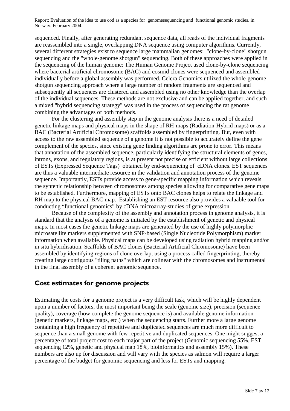sequenced. Finally, after generating redundant sequence data, all reads of the individual fragments are reassembled into a single, overlapping DNA sequence using computer algorithms. Currently, several different strategies exist to sequence large mammalian genomes: "clone-by-clone" shotgun sequencing and the "whole-genome shotgun" sequencing. Both of these approaches were applied in the sequencing of the human genome: The Human Genome Project used clone-by-clone sequencing where bacterial artificial chromosome (BAC) and cosmid clones were sequenced and assembled individually before a global assembly was performed. Celera Genomics utilized the whole-genome shotgun sequencing approach where a large number of random fragments are sequenced and subsequently all sequences are clustered and assembled using no other knowledge than the overlap of the individual sequences. These methods are not exclusive and can be applied together, and such a mixed "hybrid sequencing strategy" was used in the process of sequencing the rat genome combining the advantages of both methods.

For the clustering and assembly step in the genome analysis there is a need of detailed genetic linkage maps and physical maps in the shape of RH-maps (Radiation-Hybrid maps) or as a BAC (Bacterial Artificial Chromosome) scaffolds assembled by fingerprinting. But, even with access to the raw assembled sequence of a genome it is not possible to accurately define the gene complement of the species, since existing gene finding algorithms are prone to error. This means that annotation of the assembled sequence, particularly identifying the structural elements of genes, introns, exons, and regulatory regions, is at present not precise or efficient without large collections of ESTs (Expressed Sequence Tags) obtained by end-sequencing of cDNA clones. EST sequences are thus a valuable intermediate resource in the validation and annotation process of the genome sequence. Importantly, ESTs provide access to gene-specific mapping information which reveals the syntenic relationship between chromosomes among species allowing for comparative gene maps to be established. Furthermore, mapping of ESTs onto BAC clones helps to relate the linkage and RH map to the physical BAC map. Establishing an EST resource also provides a valuable tool for conducting "functional genomics" by cDNA microarray-studies of gene expression.

 Because of the complexity of the assembly and annotation process in genome analysis, it is standard that the analysis of a genome is initiated by the establishment of genetic and physical maps. In most cases the genetic linkage maps are generated by the use of highly polymorphic microsatellite markers supplemented with SNP-based (Single Nucleotide Polymorphism) marker information when available. Physical maps can be developed using radiation hybrid mapping and/or in situ hybridisation. Scaffolds of BAC clones (Bacterial Artificial Chromosome) have been assembled by identifying regions of clone overlap, using a process called fingerprinting, thereby creating large contiguous "tiling paths" which are colinear with the chromosomes and instrumental in the final assembly of a coherent genomic sequence.

#### **Cost estimates for genome projects**

Estimating the costs for a genome project is a very difficult task, which will be highly dependent upon a number of factors, the most important being the scale (genome size), precision (sequence quality), coverage (how complete the genome sequence is) and available genome information (genetic markers, linkage maps, etc.) when the sequencing starts. Further more a large genome containing a high frequency of repetitive and duplicated sequences are much more difficult to sequence than a small genome with few repetitive and duplicated sequences. One might suggest a percentage of total project cost to each major part of the project (Genomic sequencing 55%, EST sequencing 12%, genetic and physical map 18%, bioinformatics and assembly 15%). These numbers are also up for discussion and will vary with the species as salmon will require a larger percentage of the budget for genomic sequencing and less for ESTs and mapping.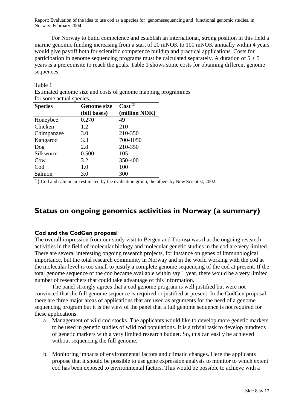For Norway to build competence and establish an international, strong position in this field a marine genomic funding increasing from a start of 20 mNOK to 100 mNOK annually within 4 years would give payoff both for scientific competence buildup and practical applications. Costs for participation in genome sequencing programs must be calculated separately. A duration of  $5 + 5$ years is a prerequisite to reach the goals. Table 1 shows some costs for obtaining different genome sequences.

#### Table 1

Estimated genome size and costs of genome mapping programmes for some actual species.

| <b>Species</b> | <b>Genome size</b><br>(bill bases) | Cost <sup>1</sup><br>(million NOK) |
|----------------|------------------------------------|------------------------------------|
| Honeybee       | 0.270                              | 49                                 |
| Chicken        | 1.2                                | 210                                |
| Chimpanzee     | 3.0                                | 210-350                            |
| Kangaroo       | 3.3                                | 700-1050                           |
| Dog            | 2.8                                | 210-350                            |
| Silkworm       | 0.500                              | 105                                |
| Cow            | 3.2                                | 350-400                            |
| Cod            | 1.0                                | 100                                |
| Salmon         | 3.0                                | 300                                |

1) Cod and salmon are estimated by the evaluation group, the others by New Scientist, 2002.

## **Status on ongoing genomics activities in Norway (a summary)**

#### **Cod and the CodGen proposal**

The overall impression from our study visit to Bergen and Tromsø was that the ongoing research activities in the field of molecular biology and molecular genetic studies in the cod are very limited. There are several interesting ongoing research projects, for instance on genes of immunological importance, but the total research community in Norway and in the world working with the cod at the molecular level is too small to justify a complete genome sequencing of the cod at present. If the total genome sequence of the cod became available within say 1 year, there would be a very limited number of researchers that could take advantage of this information.

 The panel strongly agrees that a cod genome program is well justified but were not convinced that the full genome sequence is required or justified at present. In the CodGen proposal there are three major areas of applications that are used as arguments for the need of a genome sequencing program but it is the view of the panel that a full genome sequence is not required for these applications.

- a. Management of wild cod stocks. The applicants would like to develop more genetic markers to be used in genetic studies of wild cod populations. It is a trivial task to develop hundreds of genetic markers with a very limited research budget. So, this can easily be achieved without sequencing the full genome.
- b. Monitoring impacts of environmental factors and climatic changes. Here the applicants propose that it should be possible to use gene expression analysis to monitor to which extent cod has been exposed to environmental factors. This would be possible to achieve with a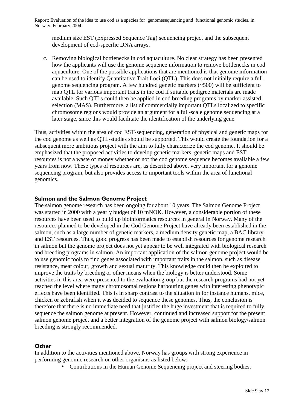medium size EST (Expressed Sequence Tag) sequencing project and the subsequent development of cod-specific DNA arrays.

c. Removing biological bottlenecks in cod aquaculture. No clear strategy has been presented how the applicants will use the genome sequence information to remove bottlenecks in cod aquaculture. One of the possible applications that are mentioned is that genome information can be used to identify Quantitative Trait Loci (QTL). This does not initially require a full genome sequencing program. A few hundred genetic markers (~500) will be sufficient to map QTL for various important traits in the cod if suitable pedigree materials are made available. Such QTLs could then be applied in cod breeding programs by marker assisted selection (MAS). Furthermore, a list of commercially important QTLs localized to specific chromosome regions would provide an argument for a full-scale genome sequencing at a later stage, since this would facilitate the identification of the underlying gene.

Thus, activities within the area of cod EST-sequencing, generation of physical and genetic maps for the cod genome as well as QTL-studies should be supported. This would create the foundation for a subsequent more ambitious project with the aim to fully characterize the cod genome. It should be emphasized that the proposed activities to develop genetic markers, genetic maps and EST resources is not a waste of money whether or not the cod genome sequence becomes available a few years from now. These types of resources are, as described above, very important for a genome sequencing program, but also provides access to important tools within the area of functional genomics.

#### **Salmon and the Salmon Genome Project**

The salmon genome research has been ongoing for about 10 years. The Salmon Genome Project was started in 2000 with a yearly budget of 10 mNOK. However, a considerable portion of these resources have been used to build up bioinformatics resources in general in Norway. Many of the resources planned to be developed in the Cod Genome Project have already been established in the salmon, such as a large number of genetic markers, a medium density genetic map, a BAC library and EST resources. Thus, good progress has been made to establish resources for genome research in salmon but the genome project does not yet appear to be well integrated with biological research and breeding programs in salmon. An important application of the salmon genome project would be to use genomic tools to find genes associated with important traits in the salmon, such as disease resistance, meat colour, growth and sexual maturity. This knowledge could then be exploited to improve the traits by breeding or other means when the biology is better understood. Some activities in this area were presented to the evaluation group but the research programs had not yet reached the level where many chromosomal regions harbouring genes with interesting phenotypic effects have been identified. This is in sharp contrast to the situation in for instance humans, mice, chicken or zebrafish when it was decided to sequence these genomes. Thus, the conclusion is therefore that there is no immediate need that justifies the huge investment that is required to fully sequence the salmon genome at present. However, continued and increased support for the present salmon genome project and a better integration of the genome project with salmon biology/salmon breeding is strongly recommended.

#### **Other**

In addition to the activities mentioned above, Norway has groups with strong experience in performing genomic research on other organisms as listed below:

• Contributions in the Human Genome Sequencing project and steering bodies.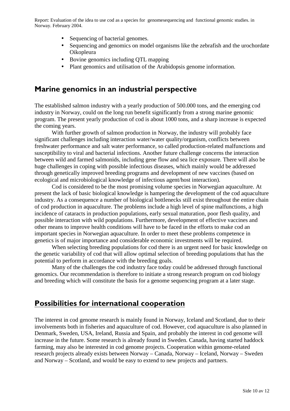- Sequencing of bacterial genomes.
- Sequencing and genomics on model organisms like the zebrafish and the urochordate Oikopleura
- Bovine genomics including QTL mapping
- Plant genomics and utilisation of the Arabidopsis genome information.

### **Marine genomics in an industrial perspective**

The established salmon industry with a yearly production of 500.000 tons, and the emerging cod industry in Norway, could on the long run benefit significantly from a strong marine genomic program. The present yearly production of cod is about 1000 tons, and a sharp increase is expected the coming years.

With further growth of salmon production in Norway, the industry will probably face significant challenges including interaction water/water quality/organism, conflicts between freshwater performance and salt water performance, so called production-related malfunctions and susceptibility to viral and bacterial infections. Another future challenge concerns the interaction between wild and farmed salmonids, including gene flow and sea lice exposure. There will also be huge challenges in coping with possible infectious diseases, which mainly would be addressed through genetically improved breeding programs and development of new vaccines (based on ecological and microbiological knowledge of infectious agent/host interaction).

 Cod is considered to be the most promising volume species in Norwegian aquaculture. At present the lack of basic biological knowledge is hampering the development of the cod aquaculture industry. As a consequence a number of biological bottlenecks still exist throughout the entire chain of cod production in aquaculture. The problems include a high level of spine malfunctions, a high incidence of cataracts in production populations, early sexual maturation, poor flesh quality, and possible interaction with wild populations. Furthermore, development of effective vaccines and other means to improve health conditions will have to be faced in the efforts to make cod an important species in Norwegian aquaculture. In order to meet these problems competence in genetics is of major importance and considerable economic investments will be required.

 When selecting breeding populations for cod there is an urgent need for basic knowledge on the genetic variability of cod that will allow optimal selection of breeding populations that has the potential to perform in accordance with the breeding goals.

 Many of the challenges the cod industry face today could be addressed through functional genomics. Our recommendation is therefore to initiate a strong research program on cod biology and breeding which will constitute the basis for a genome sequencing program at a later stage.

### **Possibilities for international cooperation**

The interest in cod genome research is mainly found in Norway, Iceland and Scotland, due to their involvements both in fisheries and aquaculture of cod. However, cod aquaculture is also planned in Denmark, Sweden, USA, Ireland, Russia and Spain, and probably the interest in cod genome will increase in the future. Some research is already found in Sweden. Canada, having started haddock farming, may also be interested in cod genome projects. Cooperation within genome-related research projects already exists between Norway – Canada, Norway – Iceland, Norway – Sweden and Norway – Scotland, and would be easy to extend to new projects and partners.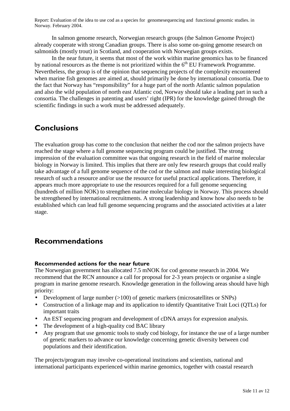In salmon genome research, Norwegian research groups (the Salmon Genome Project) already cooperate with strong Canadian groups. There is also some on-going genome research on salmonids (mostly trout) in Scotland, and cooperation with Norwegian groups exists.

 In the near future, it seems that most of the work within marine genomics has to be financed by national resources as the theme is not prioritized within the  $6<sup>th</sup>$  EU Framework Programme. Nevertheless, the group is of the opinion that sequencing projects of the complexity encountered when marine fish genomes are aimed at, should primarily be done by international consortia. Due to the fact that Norway has "responsibility" for a huge part of the north Atlantic salmon population and also the wild population of north east Atlantic cod, Norway should take a leading part in such a consortia. The challenges in patenting and users' right (IPR) for the knowledge gained through the scientific findings in such a work must be addressed adequately.

## **Conclusions**

The evaluation group has come to the conclusion that neither the cod nor the salmon projects have reached the stage where a full genome sequencing program could be justified. The strong impression of the evaluation committee was that ongoing research in the field of marine molecular biology in Norway is limited. This implies that there are only few research groups that could really take advantage of a full genome sequence of the cod or the salmon and make interesting biological research of such a resource and/or use the resource for useful practical applications. Therefore, it appears much more appropriate to use the resources required for a full genome sequencing (hundreds of million NOK) to strengthen marine molecular biology in Norway. This process should be strengthened by international recruitments. A strong leadership and know how also needs to be established which can lead full genome sequencing programs and the associated activities at a later stage.

## **Recommendations**

#### **Recommended actions for the near future**

The Norwegian government has allocated 7.5 mNOK for cod genome research in 2004. We recommend that the RCN announce a call for proposal for 2-3 years projects or organise a single program in marine genome research. Knowledge generation in the following areas should have high priority:

- Development of large number (>100) of genetic markers (microsatellites or SNPs)
- Construction of a linkage map and its application to identify Quantitative Trait Loci (QTLs) for important traits
- An EST sequencing program and development of cDNA arrays for expression analysis.
- The development of a high-quality cod BAC library
- Any program that use genomic tools to study cod biology, for instance the use of a large number of genetic markers to advance our knowledge concerning genetic diversity between cod populations and their identification.

The projects/program may involve co-operational institutions and scientists, national and international participants experienced within marine genomics, together with coastal research